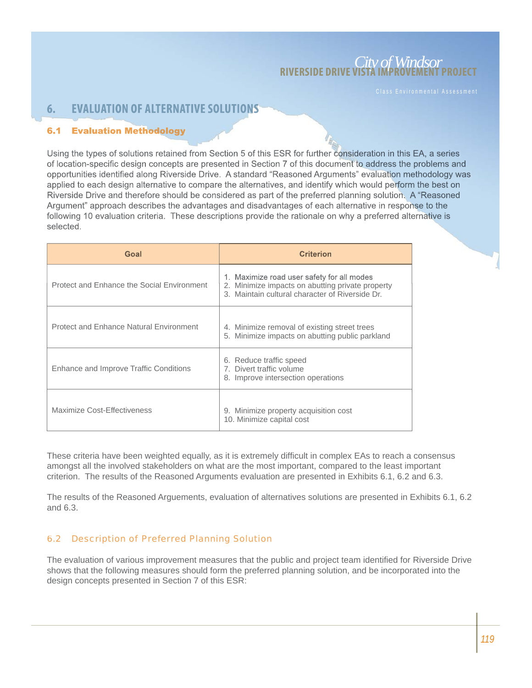# *City of Windsor* **RIVERSIDE DRIVE VISTA IMPROVEMENT PROJECT**

### **EVALUATION OF ALTERNATIVE SOLUTIONS** 6.

#### **Evaluation Methodology**  $6.1$

Using the types of solutions retained from Section 5 of this ESR for further consideration in this EA, a series of location-specific design concepts are presented in Section 7 of this document to address the problems and opportunities identified along Riverside Drive. A standard "Reasoned Arguments" evaluation methodology was applied to each design alternative to compare the alternatives, and identify which would perform the best on Riverside Drive and therefore should be considered as part of the preferred planning solution. A "Reasoned" Argument" approach describes the advantages and disadvantages of each alternative in response to the following 10 evaluation criteria. These descriptions provide the rationale on why a preferred alternative is selected.

| Goal                                           | <b>Criterion</b>                                                                                                                                  |
|------------------------------------------------|---------------------------------------------------------------------------------------------------------------------------------------------------|
| Protect and Enhance the Social Environment     | 1. Maximize road user safety for all modes<br>2. Minimize impacts on abutting private property<br>3. Maintain cultural character of Riverside Dr. |
| <b>Protect and Enhance Natural Environment</b> | 4. Minimize removal of existing street trees<br>Minimize impacts on abutting public parkland<br>5.                                                |
| Enhance and Improve Traffic Conditions         | 6. Reduce traffic speed<br>7. Divert traffic volume<br>8. Improve intersection operations                                                         |
| Maximize Cost-Effectiveness                    | Minimize property acquisition cost<br>9.<br>10. Minimize capital cost                                                                             |

These criteria have been weighted equally, as it is extremely difficult in complex EAs to reach a consensus amongst all the involved stakeholders on what are the most important, compared to the least important criterion. The results of the Reasoned Arguments evaluation are presented in Exhibits 6.1, 6.2 and 6.3.

The results of the Reasoned Arguements, evaluation of alternatives solutions are presented in Exhibits 6.1, 6.2 and 6.3.

### 6.2 Description of Preferred Planning Solution

The evaluation of various improvement measures that the public and project team identified for Riverside Drive shows that the following measures should form the preferred planning solution, and be incorporated into the design concepts presented in Section 7 of this ESR: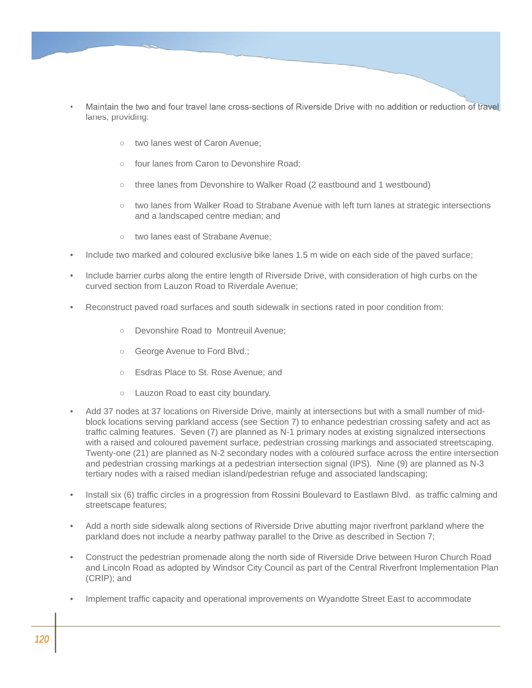

- Maintain the two and four travel lane cross-sections of Riverside Drive with no addition or reduction of travel lanes, providing:
	- two lanes west of Caron Avenue;  $\bigcap$
	- four lanes from Caron to Devonshire Road;  $\bigcap$
	- three lanes from Devonshire to Walker Road (2 eastbound and 1 westbound)  $\bigcap$
	- two lanes from Walker Road to Strabane Avenue with left turn lanes at strategic intersections and a landscaped centre median; and
	- two lanes east of Strabane Avenue;  $\bigcap$
- Include two marked and coloured exclusive bike lanes 1.5 m wide on each side of the paved surface; •
- Include barrier curbs along the entire length of Riverside Drive, with consideration of high curbs on the curved section from Lauzon Road to Riverdale Avenue; •
- Reconstruct paved road surfaces and south sidewalk in sections rated in poor condition from: •
	- Devonshire Road to Montreuil Avenue;  $\bigcap$
	- George Avenue to Ford Blvd.;  $\bigcap$
	- Esdras Place to St. Rose Avenue; and
	- Lauzon Road to east city boundary.  $\bigcap$
- Add 37 nodes at 37 locations on Riverside Drive, mainly at intersections but with a small number of midblock locations serving parkland access (see Section 7) to enhance pedestrian crossing safety and act as traffic calming features. Seven (7) are planned as N-1 primary nodes at existing signalized intersections with a raised and coloured pavement surface, pedestrian crossing markings and associated streetscaping. Twenty-one (21) are planned as N-2 secondary nodes with a coloured surface across the entire intersection and pedestrian crossing markings at a pedestrian intersection signal (IPS). Nine (9) are planned as N-3 tertiary nodes with a raised median island/pedestrian refuge and associated landscaping; •
- Install six (6) traffic circles in a progression from Rossini Boulevard to Eastlawn Blvd. as traffic calming and streetscape features; •
- Add a north side sidewalk along sections of Riverside Drive abutting major riverfront parkland where the parkland does not include a nearby pathway parallel to the Drive as described in Section 7; •
- Construct the pedestrian promenade along the north side of Riverside Drive between Huron Church Road and Lincoln Road as adopted by Windsor City Council as part of the Central Riverfront Implementation Plan (CRIP); and •
- Implement traffic capacity and operational improvements on Wyandotte Street East to accommodate •